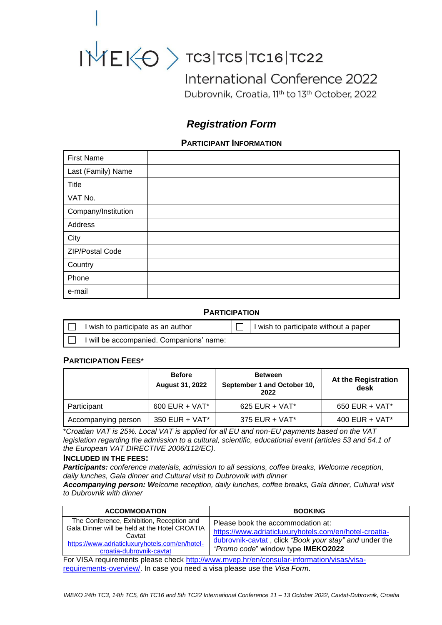

# $INIEK<sub>O</sub>$   $>$  TC3|TC5|TC16|TC22

International Conference 2022

Dubrovnik, Croatia, 11th to 13th October, 2022

# *Registration Form*

# **PARTICIPANT INFORMATION**

| <b>First Name</b>   |  |
|---------------------|--|
| Last (Family) Name  |  |
| <b>Title</b>        |  |
| VAT No.             |  |
| Company/Institution |  |
| Address             |  |
| City                |  |
| ZIP/Postal Code     |  |
| Country             |  |
| Phone               |  |
| e-mail              |  |

## **PARTICIPATION**

| I wish to participate as an author       |  | I wish to participate without a paper |
|------------------------------------------|--|---------------------------------------|
| I will be accompanied. Companions' name: |  |                                       |

# **PARTICIPATION FEES**\*

|                     | <b>Before</b><br><b>August 31, 2022</b> | <b>Between</b><br>September 1 and October 10,<br>2022 | At the Registration<br>desk |
|---------------------|-----------------------------------------|-------------------------------------------------------|-----------------------------|
| Participant         | $600$ EUR + VAT*                        | $625$ EUR + VAT*                                      | $650$ EUR + VAT*            |
| Accompanying person | 350 EUR + $VAT*$                        | 375 EUR + $VAT^*$                                     | 400 EUR + $VAT*$            |

\**Croatian VAT is 25%. Local VAT is applied for all EU and non-EU payments based on the VAT legislation regarding the admission to a cultural, scientific, educational event (articles 53 and 54.1 of the European VAT DIRECTIVE 2006/112/EC).*

#### **INCLUDED IN THE FEES:**

*Participants: conference materials, admission to all sessions, coffee breaks, Welcome reception, daily lunches, Gala dinner and Cultural visit to Dubrovnik with dinner*

*Accompanying person: Welcome reception, daily lunches, coffee breaks, Gala dinner, Cultural visit to Dubrovnik with dinner*

| <b>ACCOMMODATION</b>                                                                                                                                                               | <b>BOOKING</b>                                                                                                                                                                              |  |
|------------------------------------------------------------------------------------------------------------------------------------------------------------------------------------|---------------------------------------------------------------------------------------------------------------------------------------------------------------------------------------------|--|
| The Conference, Exhibition, Reception and<br>Gala Dinner will be held at the Hotel CROATIA<br>Cavtat<br>https://www.adriaticluxuryhotels.com/en/hotel-<br>croatia-dubrovnik-cavtat | Please book the accommodation at:<br>https://www.adriaticluxuryhotels.com/en/hotel-croatia-<br>dubrovnik-cavtat, click "Book your stay" and under the<br>"Promo code" window type IMEKO2022 |  |
|                                                                                                                                                                                    |                                                                                                                                                                                             |  |

For VISA requirements please check [http://www.mvep.hr/en/consular-information/visas/visa](http://?)[requirements-overview/.](http://?) In case you need a visa please use the *Visa Form*.